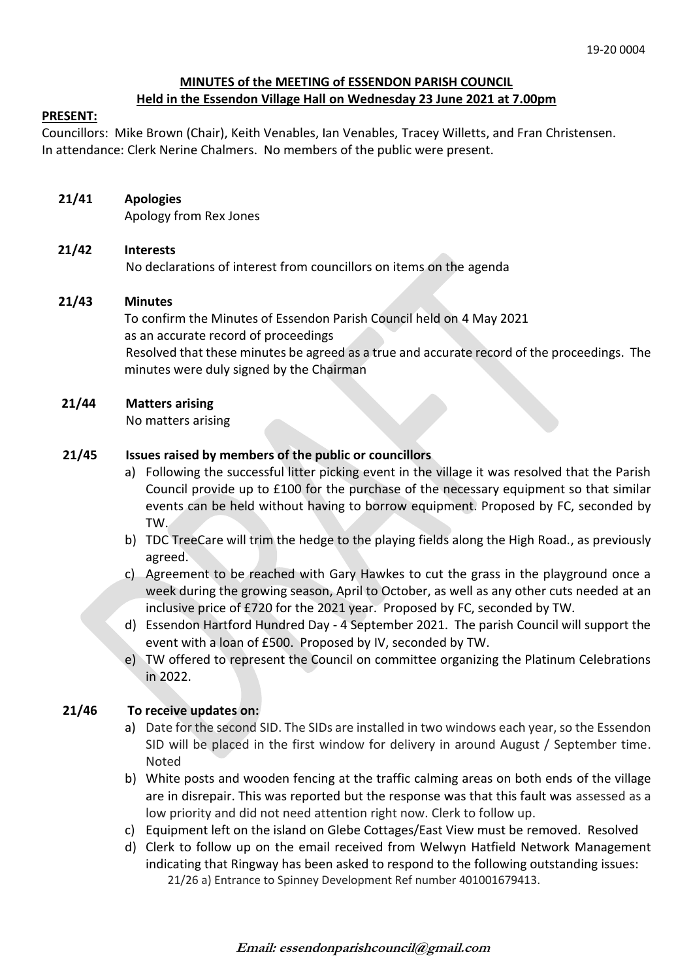# **MINUTES of the MEETING of ESSENDON PARISH COUNCIL Held in the Essendon Village Hall on Wednesday 23 June 2021 at 7.00pm**

### **PRESENT:**

Councillors: Mike Brown (Chair), Keith Venables, Ian Venables, Tracey Willetts, and Fran Christensen. In attendance: Clerk Nerine Chalmers. No members of the public were present.

# **21/41 Apologies**

Apology from Rex Jones

## **21/42 Interests**

No declarations of interest from councillors on items on the agenda

## **21/43 Minutes**

 To confirm the Minutes of Essendon Parish Council held on 4 May 2021 as an accurate record of proceedings Resolved that these minutes be agreed as a true and accurate record of the proceedings. The minutes were duly signed by the Chairman

## **21/44 Matters arising**

No matters arising

# **21/45 Issues raised by members of the public or councillors**

- a) Following the successful litter picking event in the village it was resolved that the Parish Council provide up to £100 for the purchase of the necessary equipment so that similar events can be held without having to borrow equipment. Proposed by FC, seconded by TW.
- b) TDC TreeCare will trim the hedge to the playing fields along the High Road., as previously agreed.
- c) Agreement to be reached with Gary Hawkes to cut the grass in the playground once a week during the growing season, April to October, as well as any other cuts needed at an inclusive price of £720 for the 2021 year. Proposed by FC, seconded by TW.
- d) Essendon Hartford Hundred Day 4 September 2021. The parish Council will support the event with a loan of £500. Proposed by IV, seconded by TW.
- e) TW offered to represent the Council on committee organizing the Platinum Celebrations in 2022.

# **21/46 To receive updates on:**

- a) Date for the second SID. The SIDs are installed in two windows each year, so the Essendon SID will be placed in the first window for delivery in around August / September time. Noted
- b) White posts and wooden fencing at the traffic calming areas on both ends of the village are in disrepair. This was reported but the response was that this fault was assessed as a low priority and did not need attention right now. Clerk to follow up.
- c) Equipment left on the island on Glebe Cottages/East View must be removed. Resolved
- d) Clerk to follow up on the email received from Welwyn Hatfield Network Management indicating that Ringway has been asked to respond to the following outstanding issues: 21/26 a) Entrance to Spinney Development Ref number 401001679413.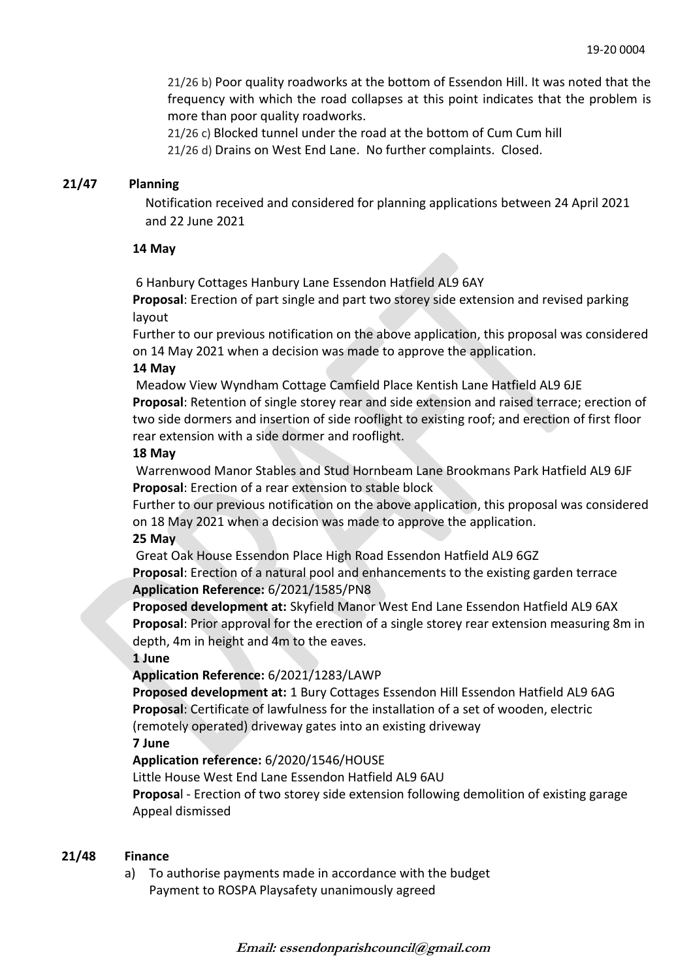21/26 b) Poor quality roadworks at the bottom of Essendon Hill. It was noted that the frequency with which the road collapses at this point indicates that the problem is more than poor quality roadworks.

 21/26 c) Blocked tunnel under the road at the bottom of Cum Cum hill 21/26 d) Drains on West End Lane. No further complaints. Closed.

## **21/47 Planning**

Notification received and considered for planning applications between 24 April 2021 and 22 June 2021

#### **14 May**

6 Hanbury Cottages Hanbury Lane Essendon Hatfield AL9 6AY

**Proposal**: Erection of part single and part two storey side extension and revised parking layout

Further to our previous notification on the above application, this proposal was considered on 14 May 2021 when a decision was made to approve the application.

#### **14 May**

Meadow View Wyndham Cottage Camfield Place Kentish Lane Hatfield AL9 6JE **Proposal**: Retention of single storey rear and side extension and raised terrace; erection of two side dormers and insertion of side rooflight to existing roof; and erection of first floor rear extension with a side dormer and rooflight.

#### **18 May**

Warrenwood Manor Stables and Stud Hornbeam Lane Brookmans Park Hatfield AL9 6JF **Proposal**: Erection of a rear extension to stable block

Further to our previous notification on the above application, this proposal was considered on 18 May 2021 when a decision was made to approve the application.

**25 May**

Great Oak House Essendon Place High Road Essendon Hatfield AL9 6GZ

**Proposal**: Erection of a natural pool and enhancements to the existing garden terrace **Application Reference:** 6/2021/1585/PN8

**Proposed development at:** Skyfield Manor West End Lane Essendon Hatfield AL9 6AX **Proposal**: Prior approval for the erection of a single storey rear extension measuring 8m in depth, 4m in height and 4m to the eaves.

### **1 June**

**Application Reference:** 6/2021/1283/LAWP

**Proposed development at:** 1 Bury Cottages Essendon Hill Essendon Hatfield AL9 6AG **Proposal**: Certificate of lawfulness for the installation of a set of wooden, electric (remotely operated) driveway gates into an existing driveway

#### **7 June**

**Application reference:** 6/2020/1546/HOUSE

Little House West End Lane Essendon Hatfield AL9 6AU

**Proposa**l - Erection of two storey side extension following demolition of existing garage Appeal dismissed

#### **21/48 Finance**

a) To authorise payments made in accordance with the budget Payment to ROSPA Playsafety unanimously agreed